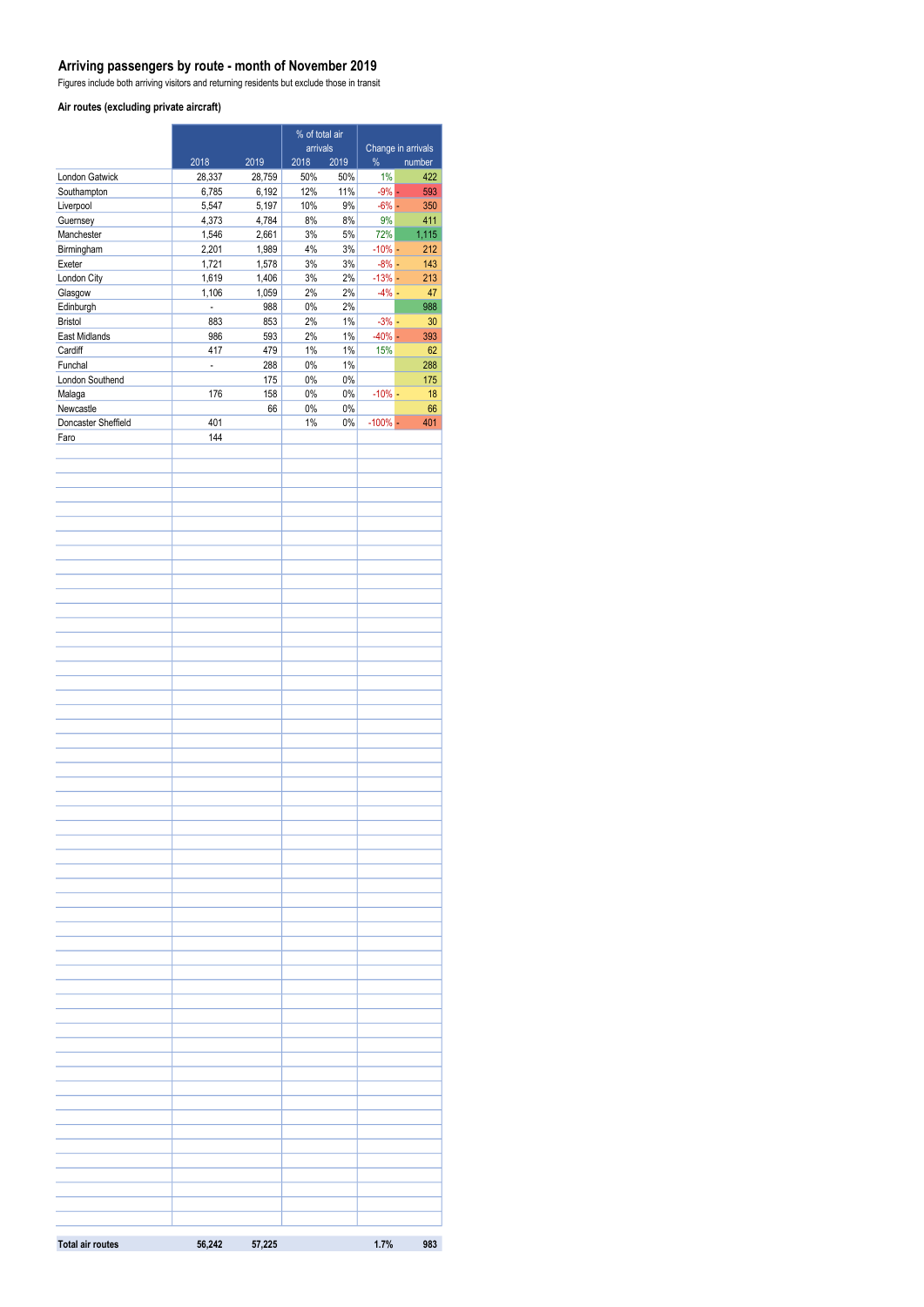### **Arriving passengers by route - month of November 2019**

Figures include both arriving visitors and returning residents but exclude those in transit

#### **Air routes (excluding private aircraft)**

|                             |                          | % of total air |             | Change in arrivals |            |               |
|-----------------------------|--------------------------|----------------|-------------|--------------------|------------|---------------|
|                             |                          |                | arrivals    |                    | $\%$       |               |
| <b>London Gatwick</b>       | 2018<br>28,337           | 2019<br>28,759 | 2018<br>50% | 2019<br>50%        | 1%         | number<br>422 |
| Southampton                 | 6,785                    | 6,192          | 12%         | 11%                | $-9%$ -    | 593           |
| Liverpool                   | 5,547                    | 5,197          | 10%         | $9\%$              | $-6%$ -    | 350           |
| Guernsey                    | 4,373                    | 4,784          | 8%          | $8\%$              | 9%         | 411           |
| Manchester                  | 1,546                    | 2,661          | 3%          | 5%                 | 72%        | 1,115         |
| Birmingham                  | 2,201                    | 1,989          | 4%          | 3%                 | $-10%$ -   | 212           |
| Exeter                      | 1,721                    | 1,578          | $3%$        | $3%$               | $-8% -$    | 143           |
| London City                 | 1,619                    | 1,406          | $3%$        | 2%                 | $-13%$ -   | 213           |
| Glasgow                     | 1,106                    | 1,059          | 2%          | 2%                 | $-4% -$    | 47            |
| Edinburgh<br><b>Bristol</b> | $\blacksquare$<br>883    | 988<br>853     | $0\%$<br>2% | 2%<br>$1\%$        | $-3%$ -    | 988<br>30     |
| East Midlands               | 986                      | 593            | 2%          | $1\%$              | $-40%$ $-$ | 393           |
| Cardiff                     | 417                      | 479            | $1\%$       | $1\%$              | 15%        | 62            |
| Funchal                     | $\overline{\phantom{a}}$ | 288            | $0\%$       | $1\%$              |            | 288           |
| London Southend             |                          | 175            | $0\%$       | $0\%$              |            | 175           |
| Malaga                      | 176                      | 158            | $0\%$       | $0\%$              | $-10\%$ -  | 18            |
| Newcastle                   |                          | 66             | $0\%$       | 0%                 |            | 66            |
| Doncaster Sheffield         | 401                      |                | $1\%$       | $0\%$              | $-100\%$ - | 401           |
| Faro                        | 144                      |                |             |                    |            |               |
|                             |                          |                |             |                    |            |               |
|                             |                          |                |             |                    |            |               |
|                             |                          |                |             |                    |            |               |
|                             |                          |                |             |                    |            |               |
|                             |                          |                |             |                    |            |               |
|                             |                          |                |             |                    |            |               |
|                             |                          |                |             |                    |            |               |
|                             |                          |                |             |                    |            |               |
|                             |                          |                |             |                    |            |               |
|                             |                          |                |             |                    |            |               |
|                             |                          |                |             |                    |            |               |
|                             |                          |                |             |                    |            |               |
|                             |                          |                |             |                    |            |               |
|                             |                          |                |             |                    |            |               |
|                             |                          |                |             |                    |            |               |
|                             |                          |                |             |                    |            |               |
|                             |                          |                |             |                    |            |               |
|                             |                          |                |             |                    |            |               |
|                             |                          |                |             |                    |            |               |
|                             |                          |                |             |                    |            |               |
|                             |                          |                |             |                    |            |               |
|                             |                          |                |             |                    |            |               |
|                             |                          |                |             |                    |            |               |
|                             |                          |                |             |                    |            |               |
|                             |                          |                |             |                    |            |               |
|                             |                          |                |             |                    |            |               |
|                             |                          |                |             |                    |            |               |
|                             |                          |                |             |                    |            |               |
|                             |                          |                |             |                    |            |               |
|                             |                          |                |             |                    |            |               |
|                             |                          |                |             |                    |            |               |
|                             |                          |                |             |                    |            |               |
|                             |                          |                |             |                    |            |               |
|                             |                          |                |             |                    |            |               |
|                             |                          |                |             |                    |            |               |
|                             |                          |                |             |                    |            |               |
|                             |                          |                |             |                    |            |               |
|                             |                          |                |             |                    |            |               |
|                             |                          |                |             |                    |            |               |
|                             |                          |                |             |                    |            |               |
|                             |                          |                |             |                    |            |               |
|                             |                          |                |             |                    |            |               |
|                             |                          |                |             |                    |            |               |
|                             |                          |                |             |                    |            |               |
|                             |                          |                |             |                    |            |               |
|                             |                          |                |             |                    |            |               |
|                             |                          |                |             |                    |            |               |
|                             |                          |                |             |                    |            |               |
|                             |                          |                |             |                    |            |               |
|                             |                          |                |             |                    |            |               |
|                             |                          |                |             |                    |            |               |
| <b>Total air routes</b>     | 56,242                   | 57,225         |             |                    | 1.7%       | 983           |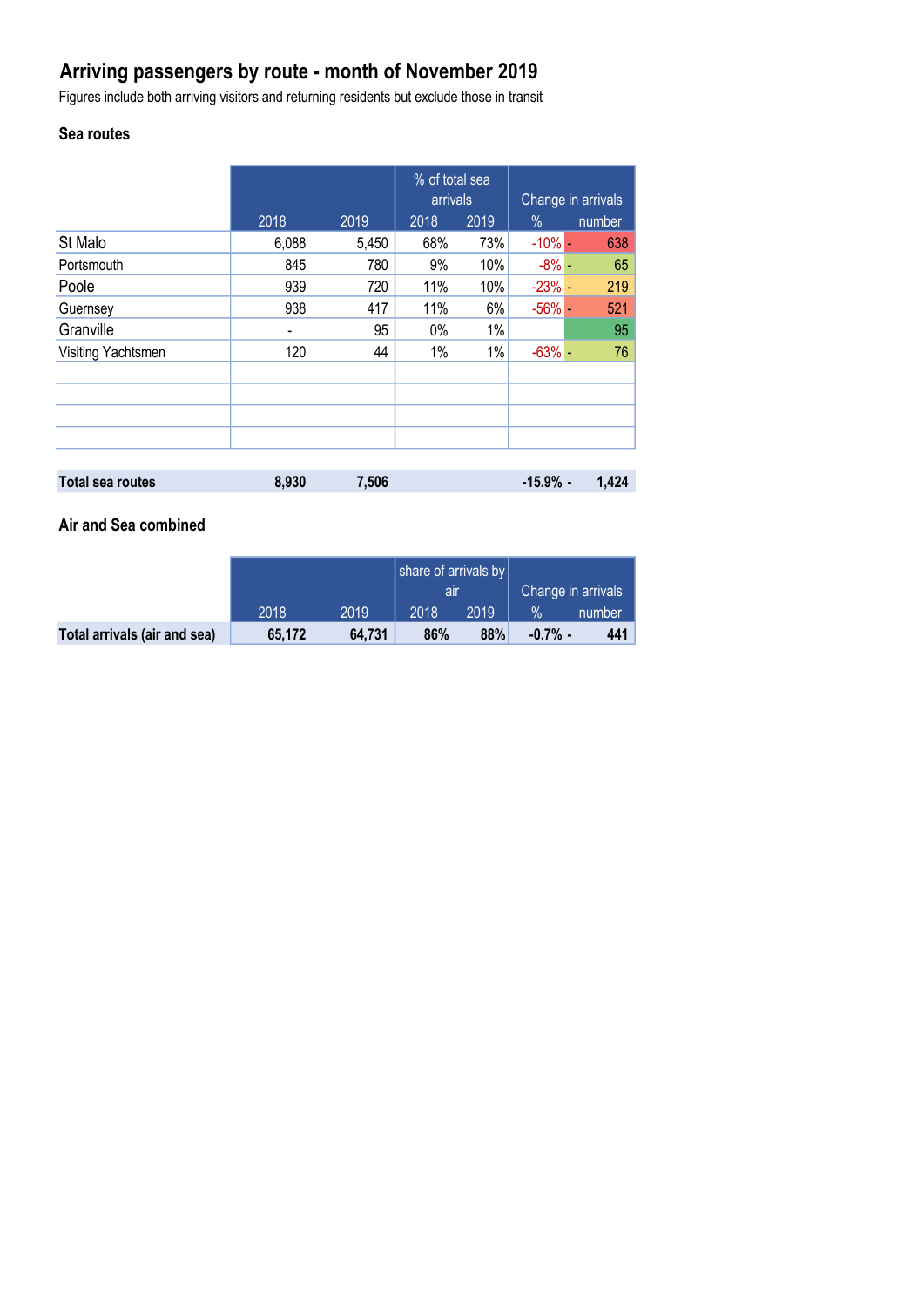# **Arriving passengers by route - month of November 2019**

Figures include both arriving visitors and returning residents but exclude those in transit

# **Sea routes**

|                         |                          |       | % of total sea<br>arrivals |      | Change in arrivals |        |
|-------------------------|--------------------------|-------|----------------------------|------|--------------------|--------|
|                         | 2018                     | 2019  | 2018                       | 2019 | $\%$               | number |
| St Malo                 | 6,088                    | 5,450 | 68%                        | 73%  | $-10\%$ $-$        | 638    |
| Portsmouth              | 845                      | 780   | 9%                         | 10%  | $-8\%$ -           | 65     |
| Poole                   | 939                      | 720   | 11%                        | 10%  | $-23%$ -           | 219    |
| Guernsey                | 938                      | 417   | 11%                        | 6%   | $-56%$ -           | 521    |
| Granville               | $\overline{\phantom{a}}$ | 95    | 0%                         | 1%   |                    | 95     |
| Visiting Yachtsmen      | 120                      | 44    | 1%                         | 1%   | $-63%$ -           | 76     |
|                         |                          |       |                            |      |                    |        |
|                         |                          |       |                            |      |                    |        |
|                         |                          |       |                            |      |                    |        |
|                         |                          |       |                            |      |                    |        |
|                         |                          |       |                            |      |                    |        |
| <b>Total sea routes</b> | 8,930                    | 7,506 |                            |      | $-15.9%$ -         | 1,424  |

## **Air and Sea combined**

|                              |        |        | share of arrivals by |      |                    |        |
|------------------------------|--------|--------|----------------------|------|--------------------|--------|
|                              |        |        | all                  |      | Change in arrivals |        |
|                              | 2018   | 2019   | 2018                 | 2019 | $\frac{1}{2}$      | number |
| Total arrivals (air and sea) | 65.172 | 64.731 | 86%                  | 88%  | $-0.7\%$ -         | 441    |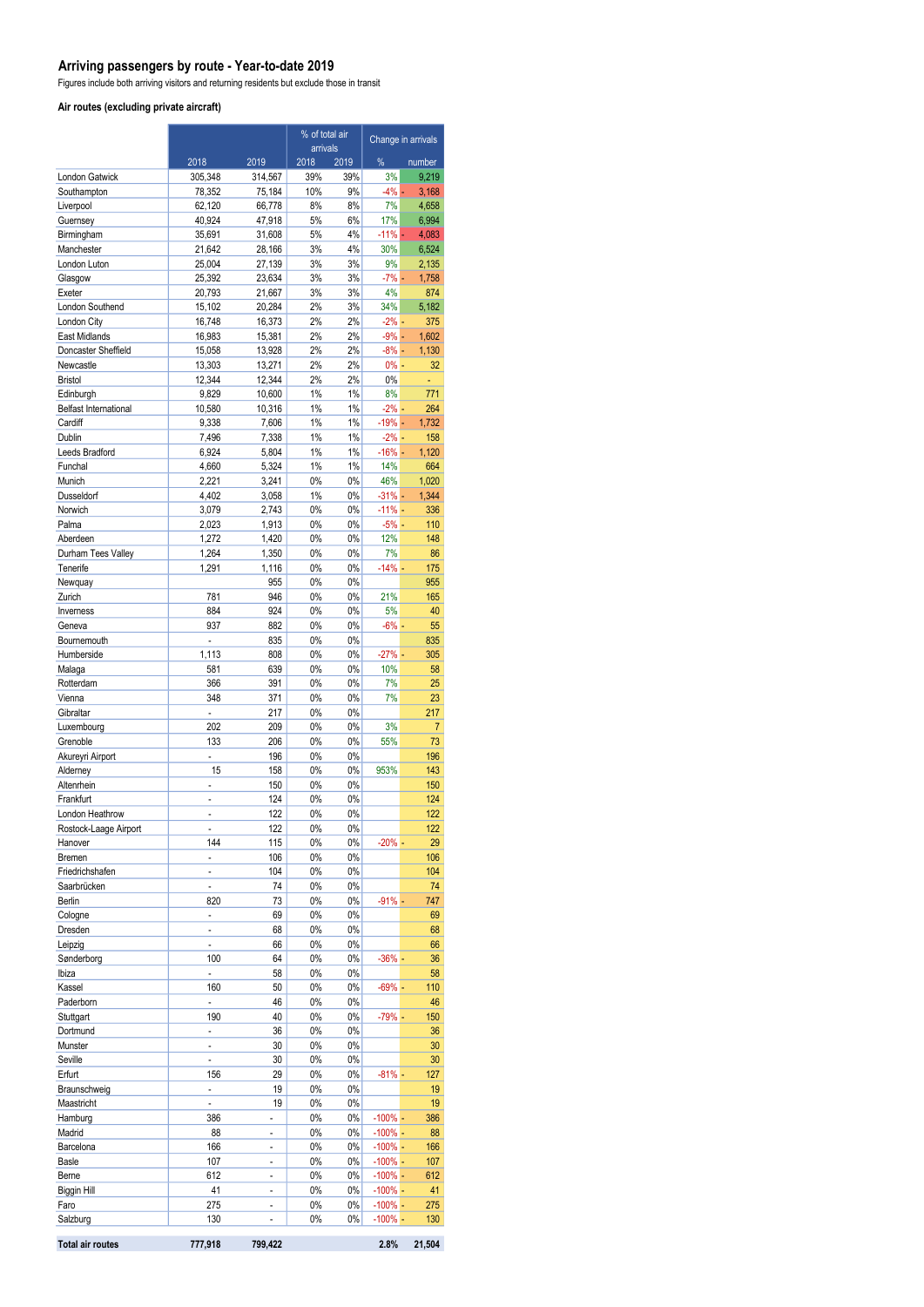### **Arriving passengers by route - Year-to-date 2019**

Figures include both arriving visitors and returning residents but exclude those in transit

#### **Air routes (excluding private aircraft)**

|                             |                          |                          | % of total air<br>arrivals |             | Change in arrivals       |                      |
|-----------------------------|--------------------------|--------------------------|----------------------------|-------------|--------------------------|----------------------|
|                             | 2018                     | 2019                     | 2018                       | 2019        | %                        | number               |
| London Gatwick              | 305,348                  | 314,567                  | 39%                        | 39%         | 3%                       | 9,219                |
| Southampton                 | 78,352                   | 75,184                   | 10%                        | 9%          | $-4\%$ $-$               | 3,168                |
| Liverpool                   | 62,120                   | 66,778                   | 8%                         | 8%          | 7%                       | 4,658                |
| Guernsey                    | 40,924                   | 47,918                   | 5%                         | 6%          | 17%                      | 6,994                |
| Birmingham<br>Manchester    | 35,691<br>21,642         | 31,608<br>28,166         | 5%<br>3%                   | 4%<br>4%    | $-11\%$ -<br>30%         | 4,083<br>6,524       |
| London Luton                | 25,004                   | 27,139                   | 3%                         | 3%          | 9%                       | 2,135                |
| Glasgow                     | 25,392                   | 23,634                   | 3%                         | 3%          | $-7\%$ $-$               | 1,758                |
| Exeter                      | 20,793                   | 21,667                   | 3%                         | 3%          | 4%                       | 874                  |
| London Southend             | 15.102                   | 20,284                   | 2%                         | 3%          | 34%                      | 5,182                |
| London City                 | 16,748                   | 16,373                   | 2%                         | 2%          | $-2\%$ -                 | 375                  |
| East Midlands               | 16,983                   | 15,381                   | 2%                         | 2%          | $-9\%$ -                 | 1.602                |
| Doncaster Sheffield         | 15,058                   | 13,928                   | 2%                         | 2%          | $-8\%$ $-$               | 1,130                |
| Newcastle<br><b>Bristol</b> | 13,303<br>12,344         | 13,271<br>12,344         | 2%<br>2%                   | 2%<br>2%    | $0% -$<br>0%             | 32                   |
| Edinburgh                   | 9,829                    | 10,600                   | 1%                         | $1\%$       | 8%                       | 771                  |
| Belfast International       | 10,580                   | 10,316                   | 1%                         | 1%          | $-2\frac{9}{6}$ -        | 264                  |
| Cardiff                     | 9,338                    | 7,606                    | 1%                         | 1%          | $-19% -$                 | 1,732                |
| Dublin                      | 7,496                    | 7,338                    | 1%                         | 1%          | $-2\%$ -                 | 158                  |
| Leeds Bradford              | 6,924                    | 5,804                    | 1%                         | 1%          | $-16% -$                 | 1,120                |
| Funchal                     | 4,660                    | 5,324                    | 1%                         | 1%          | 14%                      | 664                  |
| Munich<br>Dusseldorf        | 2,221<br>4,402           | 3,241<br>3,058           | 0%<br>1%                   | 0%<br>0%    | 46%<br>$-31% -$          | 1,020<br>1,344       |
| Norwich                     | 3,079                    | 2,743                    | 0%                         | 0%          | $-11% -$                 | 336                  |
| Palma                       | 2,023                    | 1,913                    | 0%                         | 0%          | $-5%$ -                  | 110                  |
| Aberdeen                    | 1,272                    | 1,420                    | 0%                         | 0%          | 12%                      | 148                  |
| Durham Tees Valley          | 1,264                    | 1,350                    | 0%                         | 0%          | 7%                       | 86                   |
| Tenerife                    | 1,291                    | 1,116                    | 0%                         | 0%          | $-14%$ -                 | 175                  |
| Newquay                     |                          | 955                      | 0%                         | 0%          |                          | 955                  |
| Zurich                      | 781                      | 946                      | 0%                         | 0%          | 21%                      | 165                  |
| Inverness<br>Geneva         | 884<br>937               | 924<br>882               | 0%<br>0%                   | 0%<br>0%    | 5%<br>$-6% -$            | 40<br>55             |
| Bournemouth                 | $\frac{1}{2}$            | 835                      | 0%                         | 0%          |                          | 835                  |
| Humberside                  | 1,113                    | 808                      | 0%                         | 0%          | $-27%$ -                 | 305                  |
| Malaga                      | 581                      | 639                      | $0\%$                      | 0%          | 10%                      | 58                   |
| Rotterdam                   | 366                      | 391                      | 0%                         | 0%          | 7%                       | 25                   |
| Vienna                      | 348                      | 371                      | 0%                         | 0%          | 7%                       | 23                   |
| Gibraltar                   |                          | 217                      | 0%                         | 0%          |                          | 217                  |
| Luxembourg<br>Grenoble      | 202<br>133               | 209<br>206               | 0%<br>0%                   | 0%<br>0%    | 3%<br>55%                | $\overline{7}$<br>73 |
| Akureyri Airport            | L,                       | 196                      | 0%                         | 0%          |                          | 196                  |
| Alderney                    | 15                       | 158                      | 0%                         | 0%          | 953%                     | 143                  |
| Altenrhein                  | $\overline{a}$           | 150                      | 0%                         | 0%          |                          | 150                  |
| Frankfurt                   | $\overline{a}$           | 124                      | 0%                         | 0%          |                          | 124                  |
| London Heathrow             | $\overline{a}$           | 122                      | 0%                         | 0%          |                          | 122                  |
| Rostock-Laage Airport       |                          | 122                      | 0%                         | 0%          |                          | 122                  |
| Hanover<br>Bremen           | 144<br>L,                | 115<br>106               | 0%<br>0%                   | 0%<br>0%    | $-20\%$ -                | 29<br>106            |
| Friedrichshafen             | $\overline{\phantom{0}}$ | 104                      | 0%                         | 0%          |                          | 104                  |
| Saarbrücken                 | $\overline{a}$           | 74                       | 0%                         | 0%          |                          | 74                   |
| Berlin                      | 820                      | 73                       | 0%                         | 0%          | $-91%$ -                 | 747                  |
| Cologne                     | ÷,                       | 69                       | 0%                         | 0%          |                          | 69                   |
| Dresden                     | $\overline{a}$           | 68                       | 0%                         | 0%          |                          | 68                   |
| Leipzig                     | $\overline{a}$           | 66                       | 0%                         | 0%          |                          | 66                   |
| Sønderborg                  | 100                      | 64                       | 0%                         | 0%          | $-36%$ -                 | 36                   |
| Ibiza<br>Kassel             | 160                      | 58<br>50                 | 0%<br>0%                   | 0%<br>0%    | $-69% -$                 | 58<br>110            |
| Paderborn                   | $\overline{\phantom{a}}$ | 46                       | 0%                         | 0%          |                          | 46                   |
| Stuttgart                   | 190                      | 40                       | 0%                         | 0%          | $-79% -$                 | 150                  |
| Dortmund                    | $\overline{a}$           | 36                       | 0%                         | 0%          |                          | 36                   |
| Munster                     | ÷.                       | 30                       | 0%                         | 0%          |                          | 30                   |
| Seville                     | $\overline{a}$           | 30                       | 0%                         | 0%          |                          | 30                   |
| Erfurt                      | 156                      | 29                       | 0%                         | 0%          | $-81\%$ -                | 127                  |
| Braunschweig<br>Maastricht  | ÷,                       | 19<br>19                 | 0%<br>0%                   | 0%<br>0%    |                          | 19<br>19             |
| Hamburg                     | 386                      | $\overline{\phantom{a}}$ | 0%                         | 0%          | $-100\%$ -               | 386                  |
| Madrid                      | 88                       | $\overline{a}$           | 0%                         | 0%          | $-100\%$ -               | 88                   |
| Barcelona                   | 166                      | $\overline{\phantom{a}}$ | 0%                         | 0%          | $-100\%$ -               | 166                  |
| Basle                       | 107                      | $\overline{a}$           | 0%                         | 0%          | $-100\%$ -               | 107                  |
| Berne                       | 612                      | $\overline{\phantom{0}}$ | 0%                         | 0%          | $-100\%$ -               | 612                  |
| <b>Biggin Hill</b>          | 41                       | L,                       | 0%                         | 0%          | $-100\%$ -               | 41                   |
| Faro<br>Salzburg            | 275<br>130               | $\overline{a}$           | 0%<br>0%                   | 0%<br>$0\%$ | $-100\%$ -<br>$-100\%$ - | 275                  |
|                             |                          |                          |                            |             |                          | 130                  |
| <b>Total air routes</b>     | 777,918                  | 799,422                  |                            |             | 2.8%                     | 21,504               |